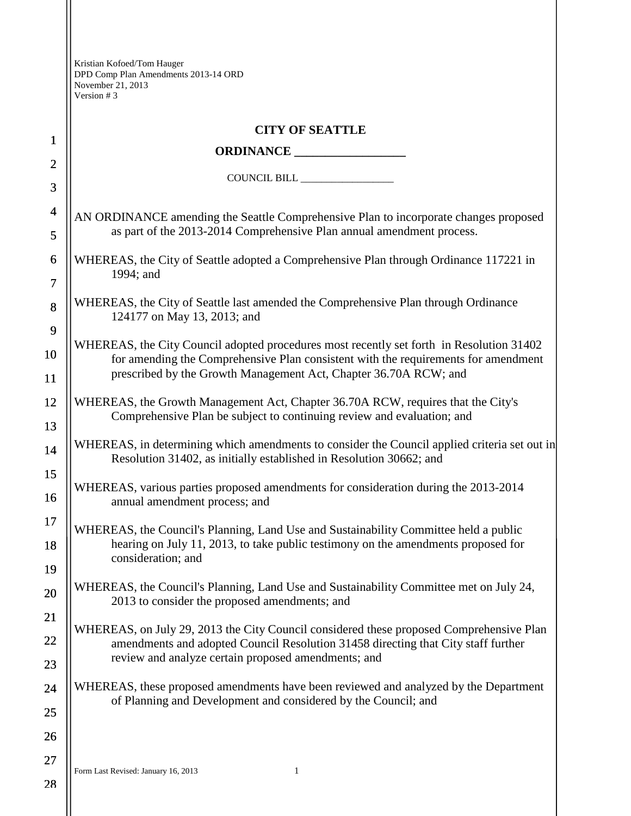| $\mathbf{1}$                  | <b>CITY OF SEATTLE</b>                                                                                                                                                                                                                             |  |
|-------------------------------|----------------------------------------------------------------------------------------------------------------------------------------------------------------------------------------------------------------------------------------------------|--|
| $\overline{2}$                |                                                                                                                                                                                                                                                    |  |
| 3                             |                                                                                                                                                                                                                                                    |  |
| $\overline{\mathcal{A}}$      | AN ORDINANCE amending the Seattle Comprehensive Plan to incorporate changes proposed<br>as part of the 2013-2014 Comprehensive Plan annual amendment process.                                                                                      |  |
| 5                             |                                                                                                                                                                                                                                                    |  |
| 6<br>$\overline{\mathcal{L}}$ | WHEREAS, the City of Seattle adopted a Comprehensive Plan through Ordinance 117221 in<br>1994; and                                                                                                                                                 |  |
| $\bf 8$                       | WHEREAS, the City of Seattle last amended the Comprehensive Plan through Ordinance<br>124177 on May 13, 2013; and                                                                                                                                  |  |
| 9                             |                                                                                                                                                                                                                                                    |  |
| 10                            | WHEREAS, the City Council adopted procedures most recently set forth in Resolution 31402<br>for amending the Comprehensive Plan consistent with the requirements for amendment<br>prescribed by the Growth Management Act, Chapter 36.70A RCW; and |  |
| 11                            |                                                                                                                                                                                                                                                    |  |
| 12                            | WHEREAS, the Growth Management Act, Chapter 36.70A RCW, requires that the City's<br>Comprehensive Plan be subject to continuing review and evaluation; and                                                                                         |  |
| 13                            |                                                                                                                                                                                                                                                    |  |
| 14                            | WHEREAS, in determining which amendments to consider the Council applied criteria set out in<br>Resolution 31402, as initially established in Resolution 30662; and                                                                                |  |
| 15<br>16                      | WHEREAS, various parties proposed amendments for consideration during the 2013-2014<br>annual amendment process; and                                                                                                                               |  |
| 17                            |                                                                                                                                                                                                                                                    |  |
| 18                            | WHEREAS, the Council's Planning, Land Use and Sustainability Committee held a public<br>hearing on July 11, 2013, to take public testimony on the amendments proposed for                                                                          |  |
| 19                            | consideration; and                                                                                                                                                                                                                                 |  |
| 20                            | WHEREAS, the Council's Planning, Land Use and Sustainability Committee met on July 24,<br>2013 to consider the proposed amendments; and                                                                                                            |  |
| 21                            |                                                                                                                                                                                                                                                    |  |
| 22                            | WHEREAS, on July 29, 2013 the City Council considered these proposed Comprehensive Plan<br>amendments and adopted Council Resolution 31458 directing that City staff further                                                                       |  |
| 23                            | review and analyze certain proposed amendments; and                                                                                                                                                                                                |  |
| 24                            | WHEREAS, these proposed amendments have been reviewed and analyzed by the Department                                                                                                                                                               |  |
| 25                            | of Planning and Development and considered by the Council; and                                                                                                                                                                                     |  |
| 26                            |                                                                                                                                                                                                                                                    |  |
| 27                            |                                                                                                                                                                                                                                                    |  |
| 28                            | 1<br>Form Last Revised: January 16, 2013                                                                                                                                                                                                           |  |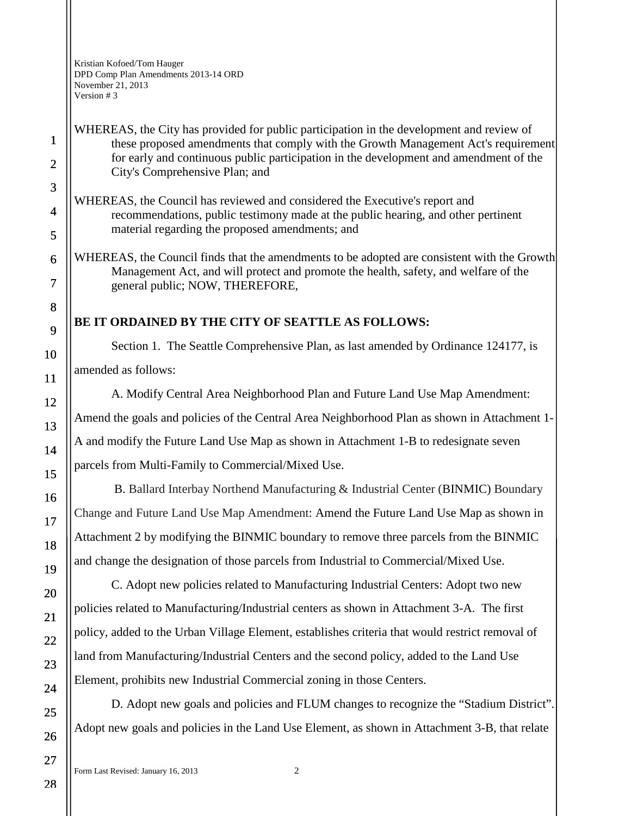WHEREAS, the City has provided for public participation in the development and review of these proposed amendments that comply with the Growth Management Act's requirement for early and continuous public participation in the development and amendment of the City's Comprehensive Plan; and

WHEREAS, the Council has reviewed and considered the Executive's report and recommendations, public testimony made at the public hearing, and other pertinent material regarding the proposed amendments; and

WHEREAS, the Council finds that the amendments to be adopted are consistent with the Growth Management Act, and will protect and promote the health, safety, and welfare of the general public; NOW, THEREFORE,

## **BE IT ORDAINED BY THE CITY OF SEATTLE AS FOLLOWS:**

Section 1. The Seattle Comprehensive Plan, as last amended by Ordinance 124177, is amended as follows:

A. Modify Central Area Neighborhood Plan and Future Land Use Map Amendment: Amend the goals and policies of the Central Area Neighborhood Plan as shown in Attachment 1- A and modify the Future Land Use Map as shown in Attachment 1-B to redesignate seven parcels from Multi-Family to Commercial/Mixed Use.

B. Ballard Interbay Northend Manufacturing & Industrial Center (BINMIC) Boundary Change and Future Land Use Map Amendment: Amend the Future Land Use Map as shown in Attachment 2 by modifying the BINMIC boundary to remove three parcels from the BINMIC and change the designation of those parcels from Industrial to Commercial/Mixed Use.

C. Adopt new policies related to Manufacturing Industrial Centers: Adopt two new policies related to Manufacturing/Industrial centers as shown in Attachment 3-A. The first policy, added to the Urban Village Element, establishes criteria that would restrict removal of land from Manufacturing/Industrial Centers and the second policy, added to the Land Use Element, prohibits new Industrial Commercial zoning in those Centers.

D. Adopt new goals and policies and FLUM changes to recognize the "Stadium District". Adopt new goals and policies in the Land Use Element, as shown in Attachment 3-B, that relate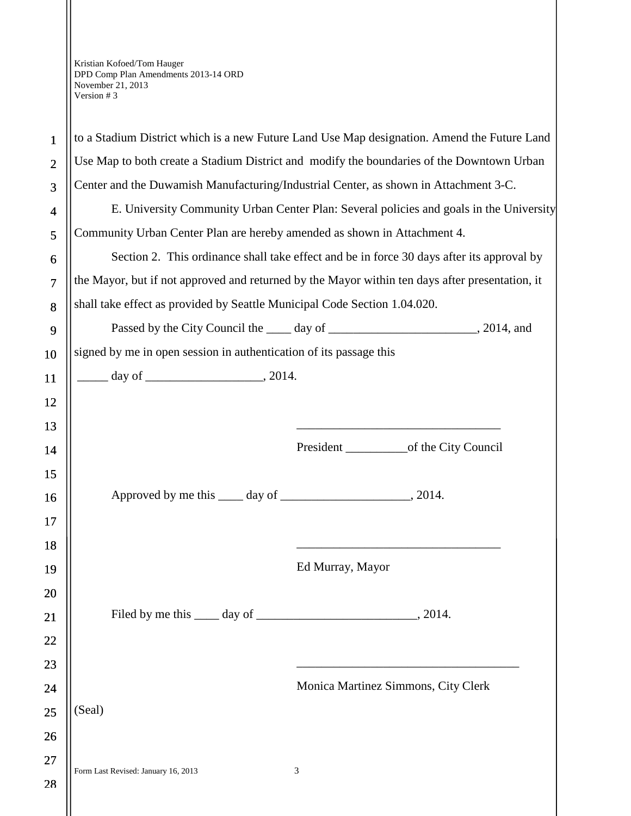| $\mathbf{1}$   | to a Stadium District which is a new Future Land Use Map designation. Amend the Future Land                                                                                                                                                                                                    |                                     |  |
|----------------|------------------------------------------------------------------------------------------------------------------------------------------------------------------------------------------------------------------------------------------------------------------------------------------------|-------------------------------------|--|
| $\overline{2}$ | Use Map to both create a Stadium District and modify the boundaries of the Downtown Urban                                                                                                                                                                                                      |                                     |  |
| 3              | Center and the Duwamish Manufacturing/Industrial Center, as shown in Attachment 3-C.                                                                                                                                                                                                           |                                     |  |
| 4              | E. University Community Urban Center Plan: Several policies and goals in the University                                                                                                                                                                                                        |                                     |  |
| 5              | Community Urban Center Plan are hereby amended as shown in Attachment 4.                                                                                                                                                                                                                       |                                     |  |
| 6              | Section 2. This ordinance shall take effect and be in force 30 days after its approval by                                                                                                                                                                                                      |                                     |  |
| $\overline{7}$ | the Mayor, but if not approved and returned by the Mayor within ten days after presentation, it                                                                                                                                                                                                |                                     |  |
| 8              | shall take effect as provided by Seattle Municipal Code Section 1.04.020.                                                                                                                                                                                                                      |                                     |  |
| 9              |                                                                                                                                                                                                                                                                                                |                                     |  |
| 10             | signed by me in open session in authentication of its passage this                                                                                                                                                                                                                             |                                     |  |
| 11             | $\frac{1}{2}$ day of $\frac{1}{2}$ and $\frac{1}{2}$ and $\frac{1}{2}$ and $\frac{1}{2}$ and $\frac{1}{2}$ and $\frac{1}{2}$ and $\frac{1}{2}$ and $\frac{1}{2}$ and $\frac{1}{2}$ and $\frac{1}{2}$ and $\frac{1}{2}$ and $\frac{1}{2}$ and $\frac{1}{2}$ and $\frac{1}{2}$ and $\frac{1}{2}$ |                                     |  |
| 12             |                                                                                                                                                                                                                                                                                                |                                     |  |
| 13             |                                                                                                                                                                                                                                                                                                |                                     |  |
| 14             |                                                                                                                                                                                                                                                                                                |                                     |  |
| 15             |                                                                                                                                                                                                                                                                                                |                                     |  |
| 16             |                                                                                                                                                                                                                                                                                                |                                     |  |
| 17             |                                                                                                                                                                                                                                                                                                |                                     |  |
| 18             |                                                                                                                                                                                                                                                                                                |                                     |  |
| 19             |                                                                                                                                                                                                                                                                                                | Ed Murray, Mayor                    |  |
| 20             |                                                                                                                                                                                                                                                                                                |                                     |  |
| 21             |                                                                                                                                                                                                                                                                                                |                                     |  |
| 22             |                                                                                                                                                                                                                                                                                                |                                     |  |
| 23             |                                                                                                                                                                                                                                                                                                |                                     |  |
| 24             |                                                                                                                                                                                                                                                                                                | Monica Martinez Simmons, City Clerk |  |
| 25             | (Seal)                                                                                                                                                                                                                                                                                         |                                     |  |
| 26             |                                                                                                                                                                                                                                                                                                |                                     |  |
| 27             | Form Last Revised: January 16, 2013                                                                                                                                                                                                                                                            | 3                                   |  |
| 28             |                                                                                                                                                                                                                                                                                                |                                     |  |
|                |                                                                                                                                                                                                                                                                                                |                                     |  |